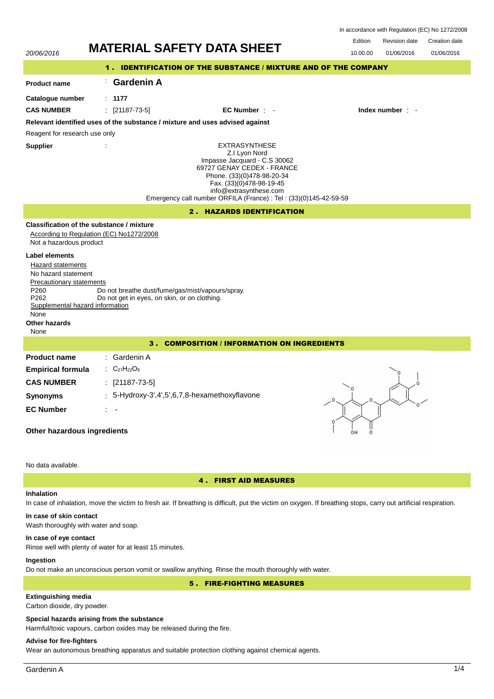| 20/06/2016                                                                                                                                                                                                   | <b>MATERIAL SAFETY DATA SHEET</b>                                                                                                                                                                                                                            | Edition<br>Revision date<br>Creation date<br>10.00.00<br>01/06/2016<br>01/06/2016 |
|--------------------------------------------------------------------------------------------------------------------------------------------------------------------------------------------------------------|--------------------------------------------------------------------------------------------------------------------------------------------------------------------------------------------------------------------------------------------------------------|-----------------------------------------------------------------------------------|
|                                                                                                                                                                                                              | 1. IDENTIFICATION OF THE SUBSTANCE / MIXTURE AND OF THE COMPANY                                                                                                                                                                                              |                                                                                   |
| <b>Product name</b>                                                                                                                                                                                          | <b>Gardenin A</b>                                                                                                                                                                                                                                            |                                                                                   |
| Catalogue number                                                                                                                                                                                             | : 1177                                                                                                                                                                                                                                                       |                                                                                   |
| <b>CAS NUMBER</b>                                                                                                                                                                                            | $[21187 - 73 - 5]$<br>EC Number : -<br>÷                                                                                                                                                                                                                     | Index number : -                                                                  |
|                                                                                                                                                                                                              | Relevant identified uses of the substance / mixture and uses advised against                                                                                                                                                                                 |                                                                                   |
| Reagent for research use only                                                                                                                                                                                |                                                                                                                                                                                                                                                              |                                                                                   |
| <b>Supplier</b>                                                                                                                                                                                              | <b>EXTRASYNTHESE</b><br>Z.I Lyon Nord<br>Impasse Jacquard - C.S 30062<br>69727 GENAY CEDEX - FRANCE<br>Phone. (33)(0)478-98-20-34<br>Fax. (33)(0)478-98-19-45<br>info@extrasynthese.com<br>Emergency call number ORFILA (France) : Tel : (33)(0)145-42-59-59 |                                                                                   |
|                                                                                                                                                                                                              | 2. HAZARDS IDENTIFICATION                                                                                                                                                                                                                                    |                                                                                   |
| Not a hazardous product<br><b>Label elements</b><br>Hazard statements<br>No hazard statement<br>Precautionary statements<br>P260<br>P262<br>Supplemental hazard information<br>None<br>Other hazards<br>None | Classification of the substance / mixture<br>According to Regulation (EC) No1272/2008<br>Do not breathe dust/fume/gas/mist/vapours/spray.<br>Do not get in eyes, on skin, or on clothing.                                                                    |                                                                                   |
|                                                                                                                                                                                                              | 3. COMPOSITION / INFORMATION ON INGREDIENTS                                                                                                                                                                                                                  |                                                                                   |
| <b>Product name</b><br><b>Empirical formula</b><br><b>CAS NUMBER</b>                                                                                                                                         | : Gardenin A<br>: $C_{21}H_{22}O_9$<br>$[21187 - 73 - 5]$                                                                                                                                                                                                    |                                                                                   |
| <b>Synonyms</b>                                                                                                                                                                                              | 5-Hydroxy-3',4',5',6,7,8-hexamethoxyflavone                                                                                                                                                                                                                  |                                                                                   |
| <b>EC Number</b><br>Other hazardous ingredients                                                                                                                                                              |                                                                                                                                                                                                                                                              |                                                                                   |
| No data available.                                                                                                                                                                                           |                                                                                                                                                                                                                                                              |                                                                                   |

## 4 . FIRST AID MEASURES

## **Inhalation**

In case of inhalation, move the victim to fresh air. If breathing is difficult, put the victim on oxygen. If breathing stops, carry out artificial respiration.

# **In case of skin contact**

Wash thoroughly with water and soap.

#### **In case of eye contact**

Rinse well with plenty of water for at least 15 minutes.

## **Ingestion**

Do not make an unconscious person vomit or swallow anything. Rinse the mouth thoroughly with water.

5 . FIRE-FIGHTING MEASURES

## **Extinguishing media**

Carbon dioxide, dry powder.

## **Special hazards arising from the substance**

Harmful/toxic vapours, carbon oxides may be released during the fire.

## **Advise for fire-fighters**

Wear an autonomous breathing apparatus and suitable protection clothing against chemical agents.

In accordance with Regulation (EC) No 1272/2008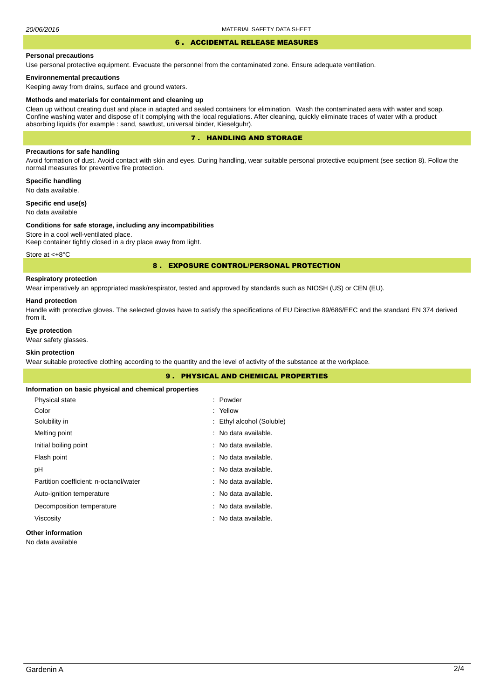#### 6 . ACCIDENTAL RELEASE MEASURES

#### **Personal precautions**

Use personal protective equipment. Evacuate the personnel from the contaminated zone. Ensure adequate ventilation.

## **Environnemental precautions**

Keeping away from drains, surface and ground waters.

#### **Methods and materials for containment and cleaning up**

Clean up without creating dust and place in adapted and sealed containers for elimination. Wash the contaminated aera with water and soap. Confine washing water and dispose of it complying with the local regulations. After cleaning, quickly eliminate traces of water with a product absorbing liquids (for example : sand, sawdust, universal binder, Kieselguhr).

## 7 . HANDLING AND STORAGE

## **Precautions for safe handling**

Avoid formation of dust. Avoid contact with skin and eyes. During handling, wear suitable personal protective equipment (see section 8). Follow the normal measures for preventive fire protection.

**Specific handling** No data available.

**Specific end use(s)**

## No data available

#### **Conditions for safe storage, including any incompatibilities**

Store in a cool well-ventilated place. Keep container tightly closed in a dry place away from light.

Store at <+8°C

## 8 . EXPOSURE CONTROL/PERSONAL PROTECTION

## **Respiratory protection**

Wear imperatively an appropriated mask/respirator, tested and approved by standards such as NIOSH (US) or CEN (EU).

#### **Hand protection**

Handle with protective gloves. The selected gloves have to satisfy the specifications of EU Directive 89/686/EEC and the standard EN 374 derived from it.

## **Eye protection**

Wear safety glasses.

## **Skin protection**

Wear suitable protective clothing according to the quantity and the level of activity of the substance at the workplace.

| 9.                                                    | <b>PHYSICAL AND CHEMICAL PROPERTIES</b> |  |  |
|-------------------------------------------------------|-----------------------------------------|--|--|
| Information on basic physical and chemical properties |                                         |  |  |
| Physical state                                        | : Powder                                |  |  |
| Color                                                 | : Yellow                                |  |  |
| Solubility in                                         | : Ethyl alcohol (Soluble)               |  |  |
| Melting point                                         | : No data available.                    |  |  |
| Initial boiling point                                 | : No data available.                    |  |  |
| Flash point                                           | : No data available.                    |  |  |
| рH                                                    | : No data available.                    |  |  |
| Partition coefficient: n-octanol/water                | : No data available.                    |  |  |
| Auto-ignition temperature                             | : No data available.                    |  |  |
| Decomposition temperature                             | : No data available.                    |  |  |
| Viscosity                                             | : No data available.                    |  |  |
|                                                       |                                         |  |  |

## **Other information**

No data available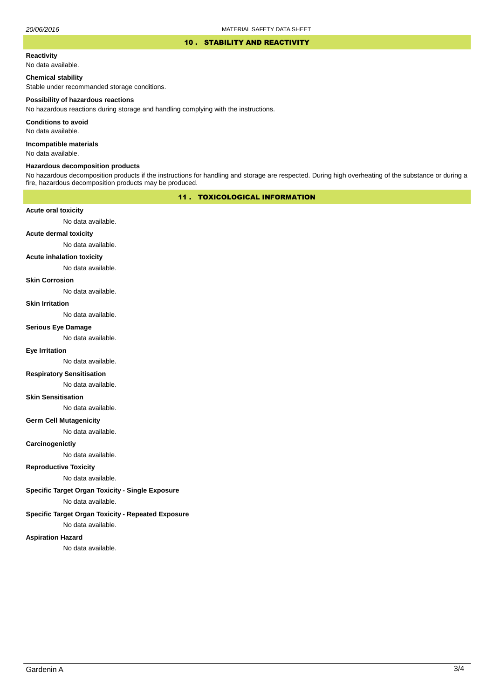#### 10 . STABILITY AND REACTIVITY

#### **Reactivity**

No data available.

## **Chemical stability**

Stable under recommanded storage conditions.

#### **Possibility of hazardous reactions**

No hazardous reactions during storage and handling complying with the instructions.

**Conditions to avoid**

No data available.

**Incompatible materials**

No data available.

## **Hazardous decomposition products**

No hazardous decomposition products if the instructions for handling and storage are respected. During high overheating of the substance or during a fire, hazardous decomposition products may be produced.

## 11 . TOXICOLOGICAL INFORMATION

## **Acute oral toxicity**

No data available.

## **Acute dermal toxicity**

No data available.

#### **Acute inhalation toxicity**

No data available.

## **Skin Corrosion**

No data available.

#### **Skin Irritation**

No data available.

## **Serious Eye Damage**

No data available.

## **Eye Irritation**

No data available.

## **Respiratory Sensitisation**

No data available.

#### **Skin Sensitisation**

No data available.

## **Germ Cell Mutagenicity**

No data available.

## **Carcinogenictiy**

No data available.

## **Reproductive Toxicity**

No data available.

## **Specific Target Organ Toxicity - Single Exposure**

No data available.

## **Specific Target Organ Toxicity - Repeated Exposure**

No data available.

#### **Aspiration Hazard**

No data available.